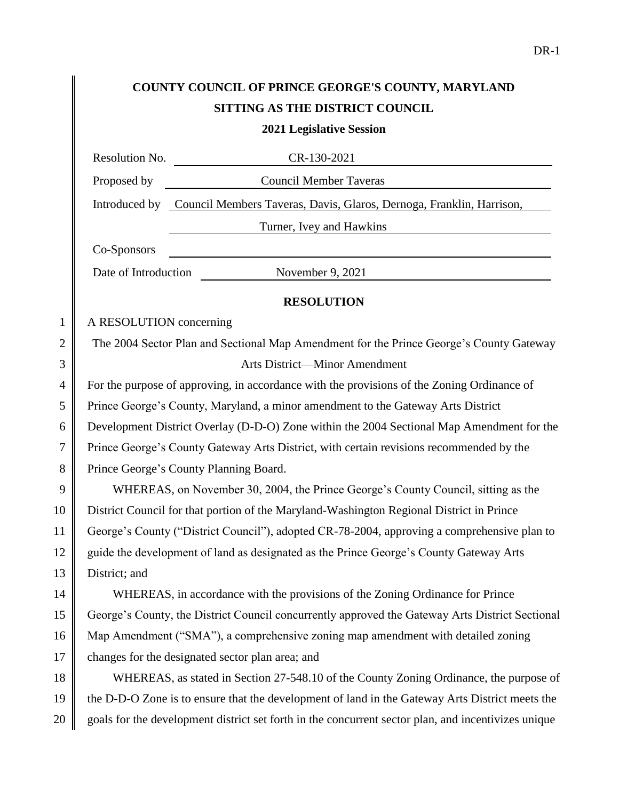|                | COUNTY COUNCIL OF PRINCE GEORGE'S COUNTY, MARYLAND                                                                                   |  |
|----------------|--------------------------------------------------------------------------------------------------------------------------------------|--|
|                | SITTING AS THE DISTRICT COUNCIL                                                                                                      |  |
|                | <b>2021 Legislative Session</b>                                                                                                      |  |
|                | Resolution No.<br>CR-130-2021                                                                                                        |  |
|                | Proposed by Council Member Taveras                                                                                                   |  |
|                | Introduced by Council Members Taveras, Davis, Glaros, Dernoga, Franklin, Harrison,                                                   |  |
|                | Turner, Ivey and Hawkins                                                                                                             |  |
|                | <u> 1989 - Johann Stoff, deutscher Stoffen und der Stoffen und der Stoffen und der Stoffen und der Stoffen und de</u><br>Co-Sponsors |  |
|                | Date of Introduction November 9, 2021                                                                                                |  |
|                | <b>RESOLUTION</b>                                                                                                                    |  |
| $\mathbf{1}$   | A RESOLUTION concerning                                                                                                              |  |
| $\overline{2}$ | The 2004 Sector Plan and Sectional Map Amendment for the Prince George's County Gateway                                              |  |
| 3              | Arts District-Minor Amendment                                                                                                        |  |
| $\overline{4}$ | For the purpose of approving, in accordance with the provisions of the Zoning Ordinance of                                           |  |
| 5              | Prince George's County, Maryland, a minor amendment to the Gateway Arts District                                                     |  |
| 6              | Development District Overlay (D-D-O) Zone within the 2004 Sectional Map Amendment for the                                            |  |
| 7              | Prince George's County Gateway Arts District, with certain revisions recommended by the                                              |  |
| 8              | Prince George's County Planning Board.                                                                                               |  |
| 9              | WHEREAS, on November 30, 2004, the Prince George's County Council, sitting as the                                                    |  |
| 10             | District Council for that portion of the Maryland-Washington Regional District in Prince                                             |  |
| 11             | George's County ("District Council"), adopted CR-78-2004, approving a comprehensive plan to                                          |  |
| 12             | guide the development of land as designated as the Prince George's County Gateway Arts                                               |  |
| 13             | District; and                                                                                                                        |  |
| 14             | WHEREAS, in accordance with the provisions of the Zoning Ordinance for Prince                                                        |  |
| 15             | George's County, the District Council concurrently approved the Gateway Arts District Sectional                                      |  |
| 16             | Map Amendment ("SMA"), a comprehensive zoning map amendment with detailed zoning                                                     |  |
| 17             | changes for the designated sector plan area; and                                                                                     |  |
| 18             | WHEREAS, as stated in Section 27-548.10 of the County Zoning Ordinance, the purpose of                                               |  |
| 19             | the D-D-O Zone is to ensure that the development of land in the Gateway Arts District meets the                                      |  |
| 20             | goals for the development district set forth in the concurrent sector plan, and incentivizes unique                                  |  |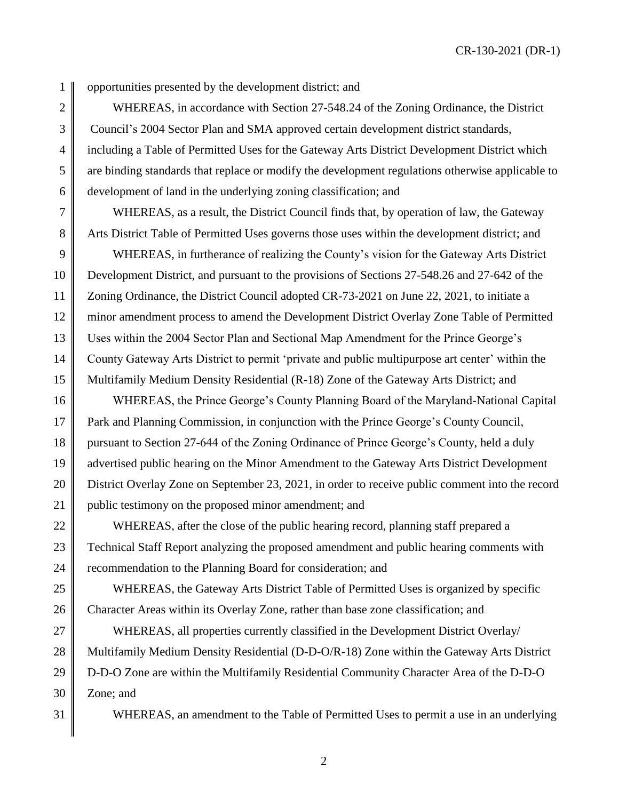1 || opportunities presented by the development district; and

2 WHEREAS, in accordance with Section 27-548.24 of the Zoning Ordinance, the District 3 Council's 2004 Sector Plan and SMA approved certain development district standards, 4 including a Table of Permitted Uses for the Gateway Arts District Development District which 5 are binding standards that replace or modify the development regulations otherwise applicable to 6 development of land in the underlying zoning classification; and

7 WHEREAS, as a result, the District Council finds that, by operation of law, the Gateway 8 Arts District Table of Permitted Uses governs those uses within the development district; and

9 WHEREAS, in furtherance of realizing the County's vision for the Gateway Arts District Development District, and pursuant to the provisions of Sections 27-548.26 and 27-642 of the 11 | Zoning Ordinance, the District Council adopted CR-73-2021 on June 22, 2021, to initiate a minor amendment process to amend the Development District Overlay Zone Table of Permitted Uses within the 2004 Sector Plan and Sectional Map Amendment for the Prince George's County Gateway Arts District to permit 'private and public multipurpose art center' within the Multifamily Medium Density Residential (R-18) Zone of the Gateway Arts District; and

16 WHEREAS, the Prince George's County Planning Board of the Maryland-National Capital 17 Park and Planning Commission, in conjunction with the Prince George's County Council, 18 pursuant to Section 27-644 of the Zoning Ordinance of Prince George's County, held a duly 19 advertised public hearing on the Minor Amendment to the Gateway Arts District Development 20 **District Overlay Zone on September 23, 2021**, in order to receive public comment into the record 21 public testimony on the proposed minor amendment; and

22 WHEREAS, after the close of the public hearing record, planning staff prepared a 23 Technical Staff Report analyzing the proposed amendment and public hearing comments with 24 The recommendation to the Planning Board for consideration; and

25 WHEREAS, the Gateway Arts District Table of Permitted Uses is organized by specific 26 Character Areas within its Overlay Zone, rather than base zone classification; and

27 WHEREAS, all properties currently classified in the Development District Overlay/ 28 Multifamily Medium Density Residential (D-D-O/R-18) Zone within the Gateway Arts District 29 D-D-O Zone are within the Multifamily Residential Community Character Area of the D-D-O  $30 \parallel$  Zone; and

31 WHEREAS, an amendment to the Table of Permitted Uses to permit a use in an underlying

2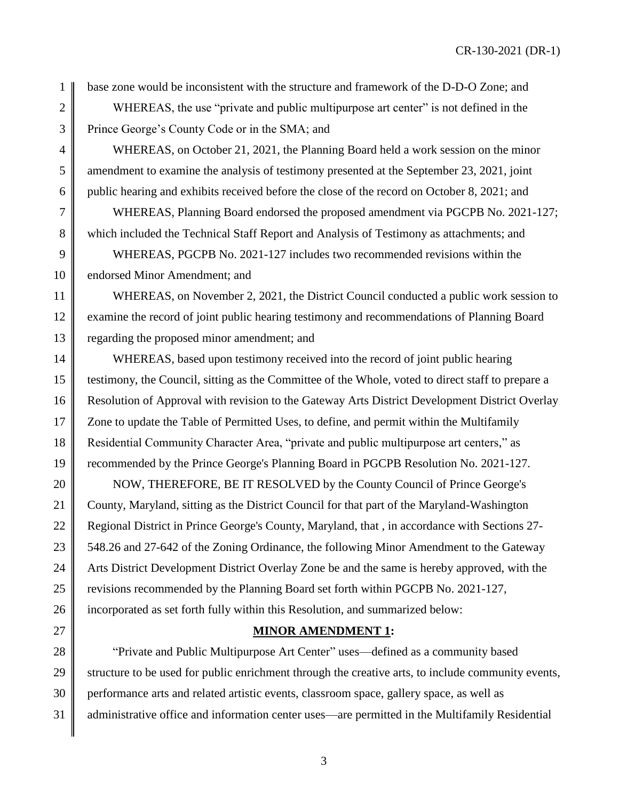1 base zone would be inconsistent with the structure and framework of the D-D-O Zone; and

2 WHEREAS, the use "private and public multipurpose art center" is not defined in the 3 Prince George's County Code or in the SMA; and

4 WHEREAS, on October 21, 2021, the Planning Board held a work session on the minor 5 mendment to examine the analysis of testimony presented at the September 23, 2021, joint 6 public hearing and exhibits received before the close of the record on October 8, 2021; and

7 WHEREAS, Planning Board endorsed the proposed amendment via PGCPB No. 2021-127; 8 which included the Technical Staff Report and Analysis of Testimony as attachments; and

9 WHEREAS, PGCPB No. 2021-127 includes two recommended revisions within the 10 endorsed Minor Amendment; and

11 WHEREAS, on November 2, 2021, the District Council conducted a public work session to 12 examine the record of joint public hearing testimony and recommendations of Planning Board 13 regarding the proposed minor amendment; and

14 WHEREAS, based upon testimony received into the record of joint public hearing 15 testimony, the Council, sitting as the Committee of the Whole, voted to direct staff to prepare a 16 Resolution of Approval with revision to the Gateway Arts District Development District Overlay 17 Zone to update the Table of Permitted Uses, to define, and permit within the Multifamily 18 Residential Community Character Area, "private and public multipurpose art centers," as 19 recommended by the Prince George's Planning Board in PGCPB Resolution No. 2021-127.

20 NOW, THEREFORE, BE IT RESOLVED by the County Council of Prince George's 21 County, Maryland, sitting as the District Council for that part of the Maryland-Washington 22 Regional District in Prince George's County, Maryland, that, in accordance with Sections 27-23 548.26 and 27-642 of the Zoning Ordinance, the following Minor Amendment to the Gateway 24 Arts District Development District Overlay Zone be and the same is hereby approved, with the 25 Tervisions recommended by the Planning Board set forth within PGCPB No. 2021-127, 26 incorporated as set forth fully within this Resolution, and summarized below:

## 27 **MINOR AMENDMENT 1:**

28 The "Private and Public Multipurpose Art Center" uses—defined as a community based 29 structure to be used for public enrichment through the creative arts, to include community events, 30 performance arts and related artistic events, classroom space, gallery space, as well as 31 diministrative office and information center uses—are permitted in the Multifamily Residential

3